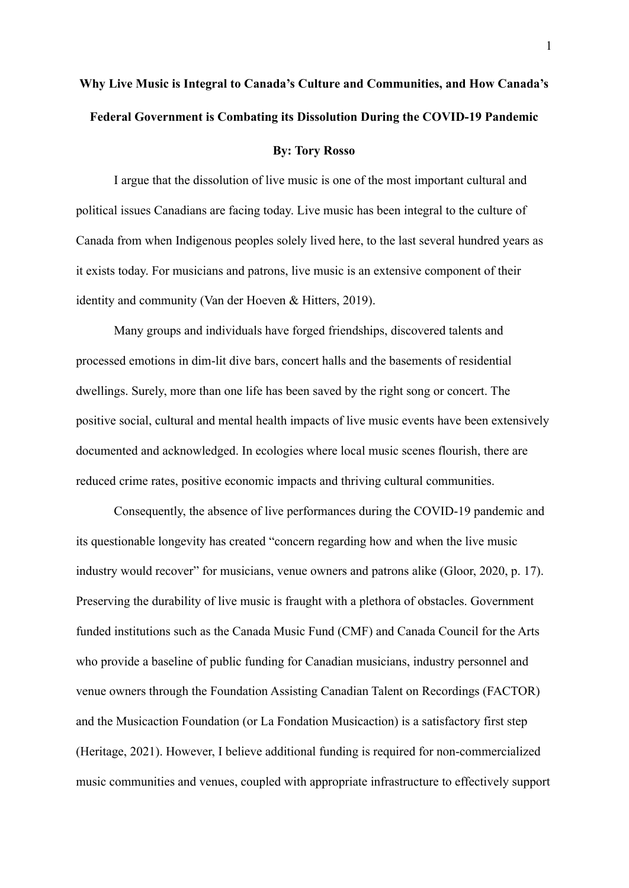# **Why Live Music is Integral to Canada's Culture and Communities, and How Canada's Federal Government is Combating its Dissolution During the COVID-19 Pandemic**

#### **By: Tory Rosso**

I argue that the dissolution of live music is one of the most important cultural and political issues Canadians are facing today. Live music has been integral to the culture of Canada from when Indigenous peoples solely lived here, to the last several hundred years as it exists today. For musicians and patrons, live music is an extensive component of their identity and community (Van der Hoeven & Hitters, 2019).

Many groups and individuals have forged friendships, discovered talents and processed emotions in dim-lit dive bars, concert halls and the basements of residential dwellings. Surely, more than one life has been saved by the right song or concert. The positive social, cultural and mental health impacts of live music events have been extensively documented and acknowledged. In ecologies where local music scenes flourish, there are reduced crime rates, positive economic impacts and thriving cultural communities.

Consequently, the absence of live performances during the COVID-19 pandemic and its questionable longevity has created "concern regarding how and when the live music industry would recover" for musicians, venue owners and patrons alike (Gloor, 2020, p. 17). Preserving the durability of live music is fraught with a plethora of obstacles. Government funded institutions such as the Canada Music Fund (CMF) and Canada Council for the Arts who provide a baseline of public funding for Canadian musicians, industry personnel and venue owners through the Foundation Assisting Canadian Talent on Recordings (FACTOR) and the Musicaction Foundation (or La Fondation Musicaction) is a satisfactory first step (Heritage, 2021). However, I believe additional funding is required for non-commercialized music communities and venues, coupled with appropriate infrastructure to effectively support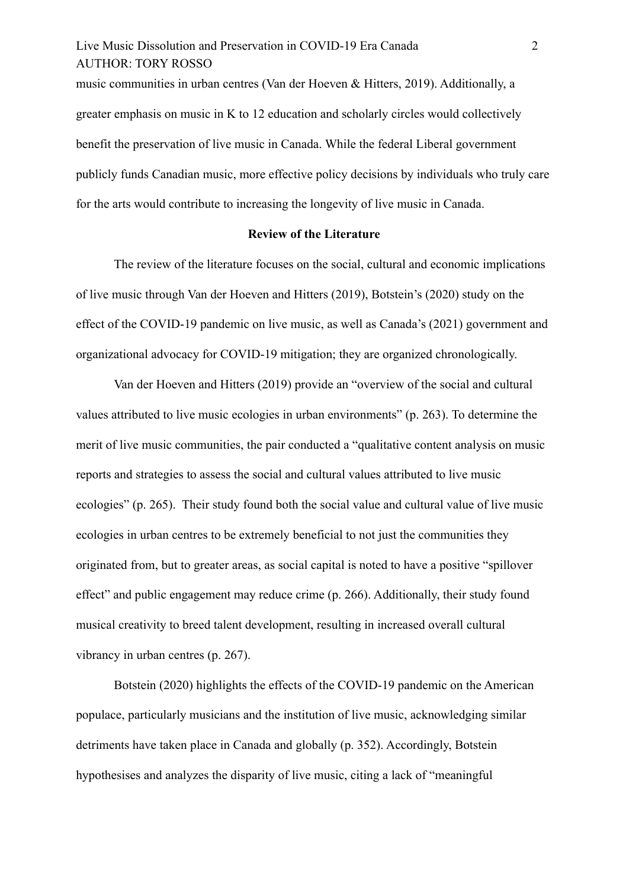# Live Music Dissolution and Preservation in COVID-19 Era Canada 2 AUTHOR: TORY ROSSO

music communities in urban centres (Van der Hoeven & Hitters, 2019). Additionally, a greater emphasis on music in K to 12 education and scholarly circles would collectively benefit the preservation of live music in Canada. While the federal Liberal government publicly funds Canadian music, more effective policy decisions by individuals who truly care for the arts would contribute to increasing the longevity of live music in Canada.

#### **Review of the Literature**

The review of the literature focuses on the social, cultural and economic implications of live music through Van der Hoeven and Hitters (2019), Botstein's (2020) study on the effect of the COVID-19 pandemic on live music, as well as Canada's (2021) government and organizational advocacy for COVID-19 mitigation; they are organized chronologically.

Van der Hoeven and Hitters (2019) provide an "overview of the social and cultural values attributed to live music ecologies in urban environments" (p. 263). To determine the merit of live music communities, the pair conducted a "qualitative content analysis on music reports and strategies to assess the social and cultural values attributed to live music ecologies" (p. 265). Their study found both the social value and cultural value of live music ecologies in urban centres to be extremely beneficial to not just the communities they originated from, but to greater areas, as social capital is noted to have a positive "spillover effect" and public engagement may reduce crime (p. 266). Additionally, their study found musical creativity to breed talent development, resulting in increased overall cultural vibrancy in urban centres (p. 267).

Botstein (2020) highlights the effects of the COVID-19 pandemic on the American populace, particularly musicians and the institution of live music, acknowledging similar detriments have taken place in Canada and globally (p. 352). Accordingly, Botstein hypothesises and analyzes the disparity of live music, citing a lack of "meaningful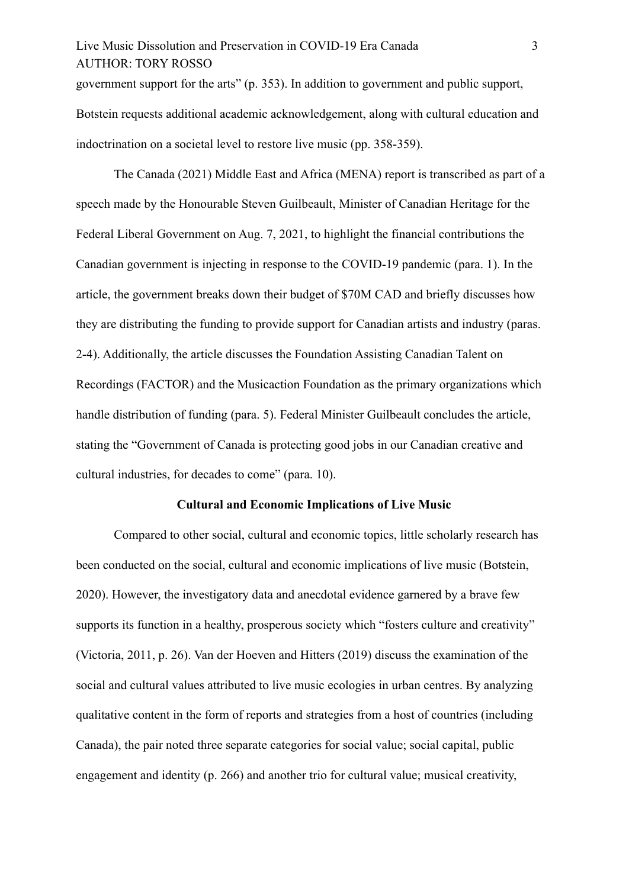# Live Music Dissolution and Preservation in COVID-19 Era Canada 3 AUTHOR: TORY ROSSO

government support for the arts" (p. 353). In addition to government and public support, Botstein requests additional academic acknowledgement, along with cultural education and indoctrination on a societal level to restore live music (pp. 358-359).

The Canada (2021) Middle East and Africa (MENA) report is transcribed as part of a speech made by the Honourable Steven Guilbeault, Minister of Canadian Heritage for the Federal Liberal Government on Aug. 7, 2021, to highlight the financial contributions the Canadian government is injecting in response to the COVID-19 pandemic (para. 1). In the article, the government breaks down their budget of \$70M CAD and briefly discusses how they are distributing the funding to provide support for Canadian artists and industry (paras. 2-4). Additionally, the article discusses the Foundation Assisting Canadian Talent on Recordings (FACTOR) and the Musicaction Foundation as the primary organizations which handle distribution of funding (para. 5). Federal Minister Guilbeault concludes the article, stating the "Government of Canada is protecting good jobs in our Canadian creative and cultural industries, for decades to come" (para. 10).

#### **Cultural and Economic Implications of Live Music**

Compared to other social, cultural and economic topics, little scholarly research has been conducted on the social, cultural and economic implications of live music (Botstein, 2020). However, the investigatory data and anecdotal evidence garnered by a brave few supports its function in a healthy, prosperous society which "fosters culture and creativity" (Victoria, 2011, p. 26). Van der Hoeven and Hitters (2019) discuss the examination of the social and cultural values attributed to live music ecologies in urban centres. By analyzing qualitative content in the form of reports and strategies from a host of countries (including Canada), the pair noted three separate categories for social value; social capital, public engagement and identity (p. 266) and another trio for cultural value; musical creativity,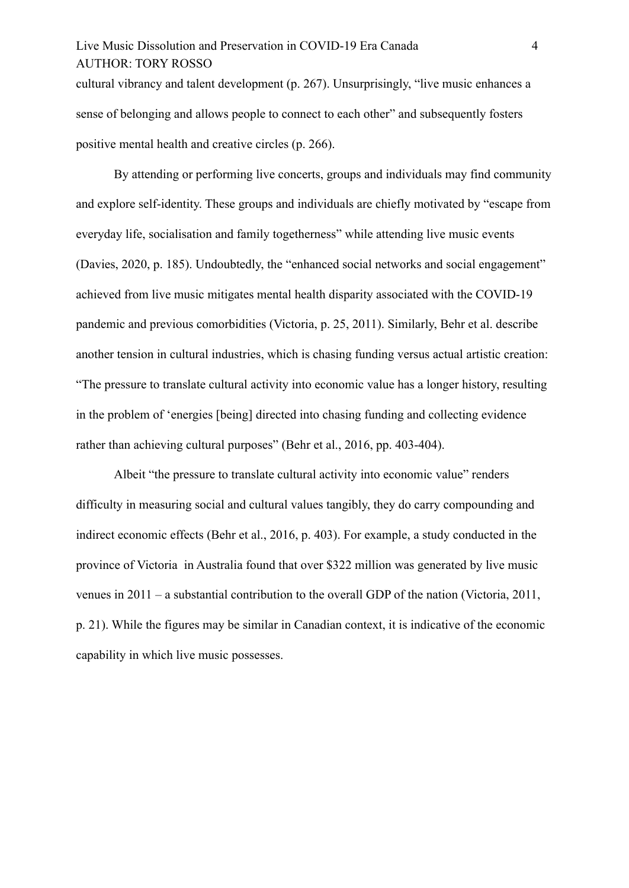# Live Music Dissolution and Preservation in COVID-19 Era Canada 4 AUTHOR: TORY ROSSO

cultural vibrancy and talent development (p. 267). Unsurprisingly, "live music enhances a sense of belonging and allows people to connect to each other" and subsequently fosters positive mental health and creative circles (p. 266).

By attending or performing live concerts, groups and individuals may find community and explore self-identity. These groups and individuals are chiefly motivated by "escape from everyday life, socialisation and family togetherness" while attending live music events (Davies, 2020, p. 185). Undoubtedly, the "enhanced social networks and social engagement" achieved from live music mitigates mental health disparity associated with the COVID-19 pandemic and previous comorbidities (Victoria, p. 25, 2011). Similarly, Behr et al. describe another tension in cultural industries, which is chasing funding versus actual artistic creation: "The pressure to translate cultural activity into economic value has a longer history, resulting in the problem of 'energies [being] directed into chasing funding and collecting evidence rather than achieving cultural purposes" (Behr et al., 2016, pp. 403-404).

Albeit "the pressure to translate cultural activity into economic value" renders difficulty in measuring social and cultural values tangibly, they do carry compounding and indirect economic effects (Behr et al., 2016, p. 403). For example, a study conducted in the province of Victoria in Australia found that over \$322 million was generated by live music venues in 2011 – a substantial contribution to the overall GDP of the nation (Victoria, 2011, p. 21). While the figures may be similar in Canadian context, it is indicative of the economic capability in which live music possesses.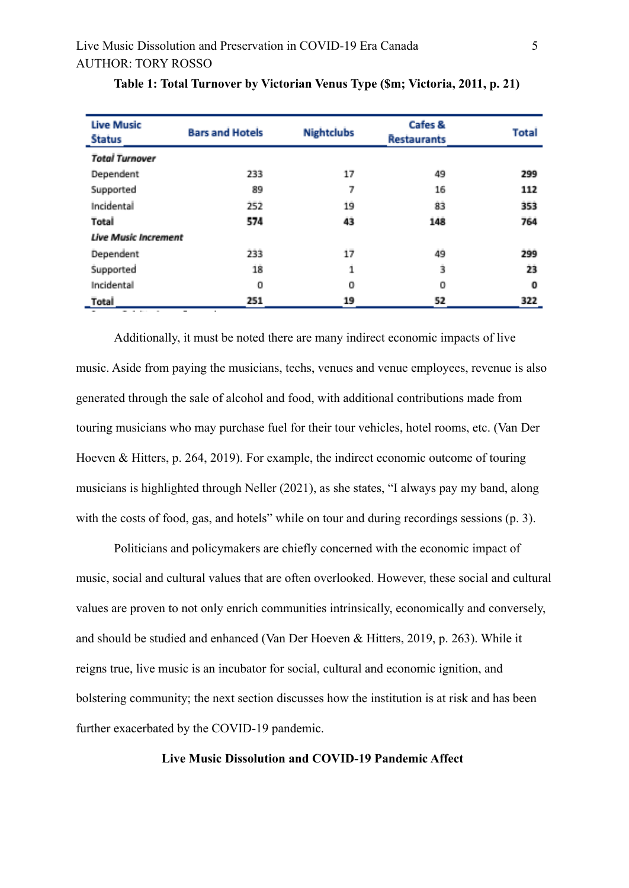| <b>Live Music</b><br><b>Status</b> | <b>Bars and Hotels</b> | <b>Nightclubs</b> | Cafes &<br><b>Restaurants</b> | <b>Total</b> |  |
|------------------------------------|------------------------|-------------------|-------------------------------|--------------|--|
| <b>Total Turnover</b>              |                        |                   |                               |              |  |
| Dependent                          | 233                    | 17                | 49                            | 299          |  |
| Supported                          | 89                     | 7                 | 16                            | 112          |  |
| Incidental                         | 252                    | 19                | 83                            | 353          |  |
| Total                              | 574                    | 43                | 148                           | 764          |  |
| <b>Live Music Increment</b>        |                        |                   |                               |              |  |
| Dependent                          | 233                    | $17^{1}$          | 49                            | 299          |  |
| Supported                          | 18                     | 1                 | ż                             | 23           |  |
| Incidental                         | 0                      | о                 | 0                             | 0            |  |
| Total                              | 251                    | 19                | 52                            | 322          |  |

|  | Table 1: Total Turnover by Victorian Venus Type (\$m; Victoria, 2011, p. 21) |  |  |  |  |  |
|--|------------------------------------------------------------------------------|--|--|--|--|--|
|  |                                                                              |  |  |  |  |  |

Additionally, it must be noted there are many indirect economic impacts of live music. Aside from paying the musicians, techs, venues and venue employees, revenue is also generated through the sale of alcohol and food, with additional contributions made from touring musicians who may purchase fuel for their tour vehicles, hotel rooms, etc. (Van Der Hoeven & Hitters, p. 264, 2019). For example, the indirect economic outcome of touring musicians is highlighted through Neller (2021), as she states, "I always pay my band, along with the costs of food, gas, and hotels" while on tour and during recordings sessions (p. 3).

Politicians and policymakers are chiefly concerned with the economic impact of music, social and cultural values that are often overlooked. However, these social and cultural values are proven to not only enrich communities intrinsically, economically and conversely, and should be studied and enhanced (Van Der Hoeven & Hitters, 2019, p. 263). While it reigns true, live music is an incubator for social, cultural and economic ignition, and bolstering community; the next section discusses how the institution is at risk and has been further exacerbated by the COVID-19 pandemic.

#### **Live Music Dissolution and COVID-19 Pandemic Affect**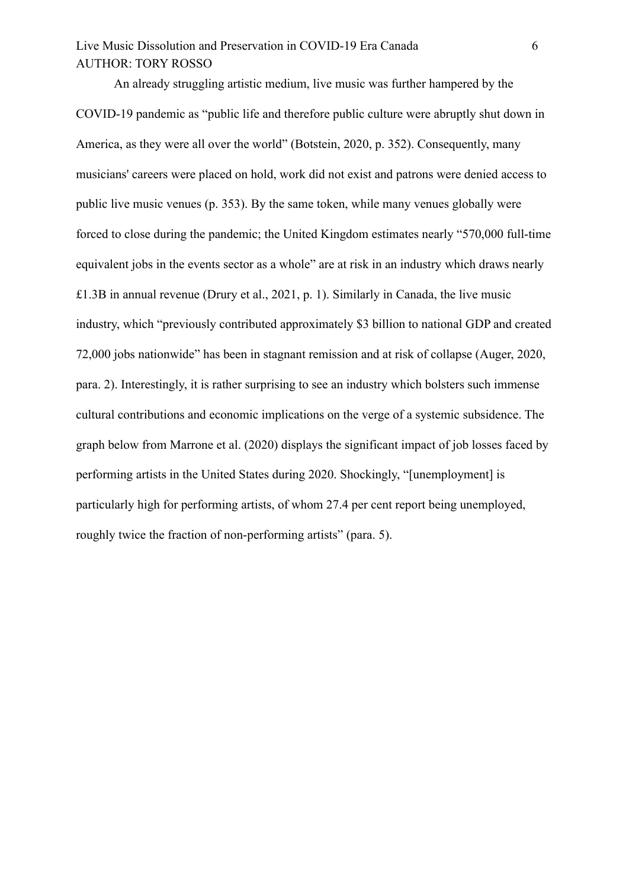# Live Music Dissolution and Preservation in COVID-19 Era Canada 6 AUTHOR: TORY ROSSO

An already struggling artistic medium, live music was further hampered by the COVID-19 pandemic as "public life and therefore public culture were abruptly shut down in America, as they were all over the world" (Botstein, 2020, p. 352). Consequently, many musicians' careers were placed on hold, work did not exist and patrons were denied access to public live music venues (p. 353). By the same token, while many venues globally were forced to close during the pandemic; the United Kingdom estimates nearly "570,000 full-time equivalent jobs in the events sector as a whole" are at risk in an industry which draws nearly £1.3B in annual revenue (Drury et al., 2021, p. 1). Similarly in Canada, the live music industry, which "previously contributed approximately \$3 billion to national GDP and created 72,000 jobs nationwide" has been in stagnant remission and at risk of collapse (Auger, 2020, para. 2). Interestingly, it is rather surprising to see an industry which bolsters such immense cultural contributions and economic implications on the verge of a systemic subsidence. The graph below from Marrone et al. (2020) displays the significant impact of job losses faced by performing artists in the United States during 2020. Shockingly, "[unemployment] is particularly high for performing artists, of whom 27.4 per cent report being unemployed, roughly twice the fraction of non-performing artists" (para. 5).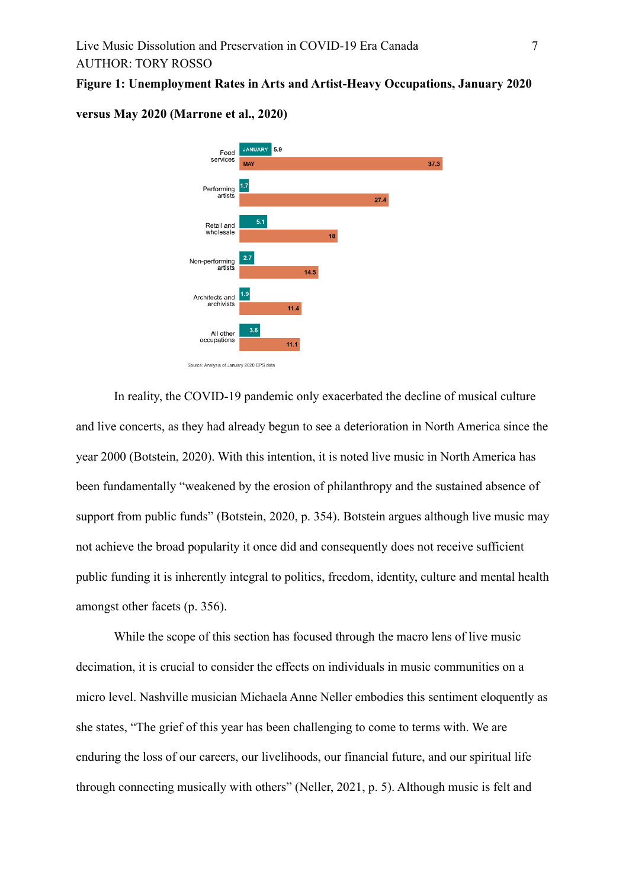#### **Figure 1: Unemployment Rates in Arts and Artist-Heavy Occupations, January 2020**



#### **versus May 2020 (Marrone et al., 2020)**

In reality, the COVID-19 pandemic only exacerbated the decline of musical culture and live concerts, as they had already begun to see a deterioration in North America since the year 2000 (Botstein, 2020). With this intention, it is noted live music in North America has been fundamentally "weakened by the erosion of philanthropy and the sustained absence of support from public funds" (Botstein, 2020, p. 354). Botstein argues although live music may not achieve the broad popularity it once did and consequently does not receive sufficient public funding it is inherently integral to politics, freedom, identity, culture and mental health amongst other facets (p. 356).

While the scope of this section has focused through the macro lens of live music decimation, it is crucial to consider the effects on individuals in music communities on a micro level. Nashville musician Michaela Anne Neller embodies this sentiment eloquently as she states, "The grief of this year has been challenging to come to terms with. We are enduring the loss of our careers, our livelihoods, our financial future, and our spiritual life through connecting musically with others" (Neller, 2021, p. 5). Although music is felt and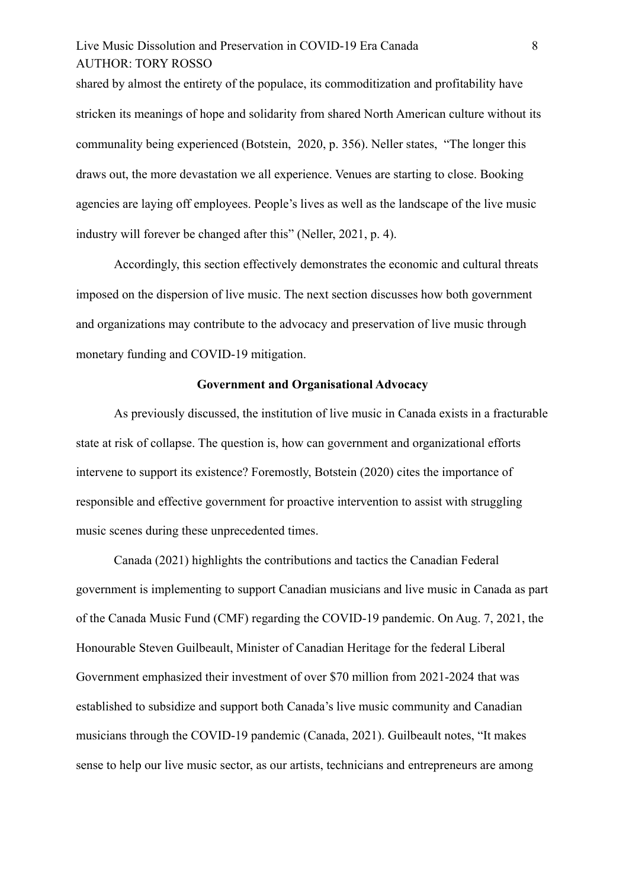# Live Music Dissolution and Preservation in COVID-19 Era Canada 8 AUTHOR: TORY ROSSO

shared by almost the entirety of the populace, its commoditization and profitability have stricken its meanings of hope and solidarity from shared North American culture without its communality being experienced (Botstein, 2020, p. 356). Neller states, "The longer this draws out, the more devastation we all experience. Venues are starting to close. Booking agencies are laying off employees. People's lives as well as the landscape of the live music industry will forever be changed after this" (Neller, 2021, p. 4).

Accordingly, this section effectively demonstrates the economic and cultural threats imposed on the dispersion of live music. The next section discusses how both government and organizations may contribute to the advocacy and preservation of live music through monetary funding and COVID-19 mitigation.

#### **Government and Organisational Advocacy**

As previously discussed, the institution of live music in Canada exists in a fracturable state at risk of collapse. The question is, how can government and organizational efforts intervene to support its existence? Foremostly, Botstein (2020) cites the importance of responsible and effective government for proactive intervention to assist with struggling music scenes during these unprecedented times.

Canada (2021) highlights the contributions and tactics the Canadian Federal government is implementing to support Canadian musicians and live music in Canada as part of the Canada Music Fund (CMF) regarding the COVID-19 pandemic. On Aug. 7, 2021, the Honourable Steven Guilbeault, Minister of Canadian Heritage for the federal Liberal Government emphasized their investment of over \$70 million from 2021-2024 that was established to subsidize and support both Canada's live music community and Canadian musicians through the COVID-19 pandemic (Canada, 2021). Guilbeault notes, "It makes sense to help our live music sector, as our artists, technicians and entrepreneurs are among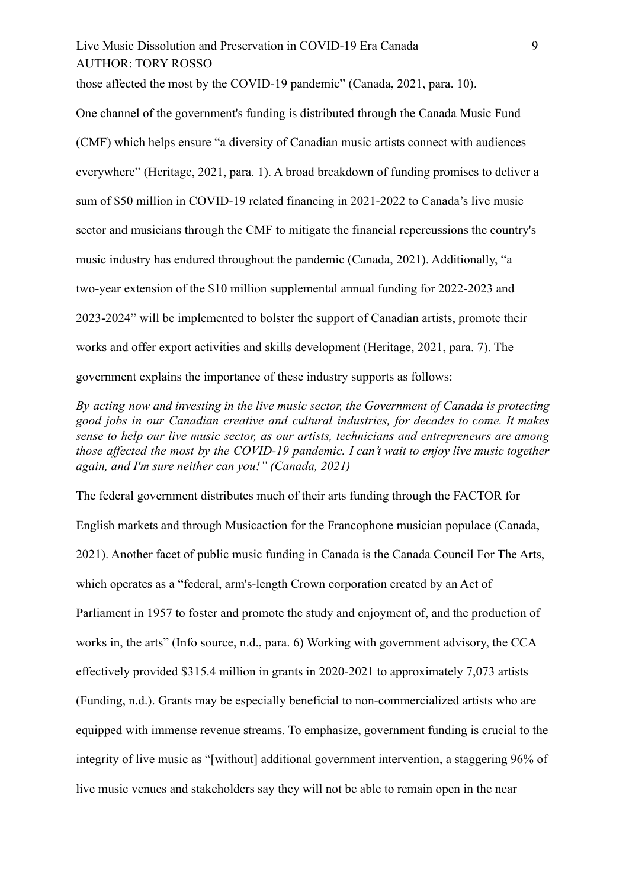Live Music Dissolution and Preservation in COVID-19 Era Canada 9 AUTHOR: TORY ROSSO

those affected the most by the COVID-19 pandemic" (Canada, 2021, para. 10).

One channel of the government's funding is distributed through the Canada Music Fund (CMF) which helps ensure "a diversity of Canadian music artists connect with audiences everywhere" (Heritage, 2021, para. 1). A broad breakdown of funding promises to deliver a sum of \$50 million in COVID-19 related financing in 2021-2022 to Canada's live music sector and musicians through the CMF to mitigate the financial repercussions the country's music industry has endured throughout the pandemic (Canada, 2021). Additionally, "a two-year extension of the \$10 million supplemental annual funding for 2022-2023 and 2023-2024" will be implemented to bolster the support of Canadian artists, promote their works and offer export activities and skills development (Heritage, 2021, para. 7). The government explains the importance of these industry supports as follows:

*By acting now and investing in the live music sector, the Government of Canada is protecting good jobs in our Canadian creative and cultural industries, for decades to come. It makes sense to help our live music sector, as our artists, technicians and entrepreneurs are among those affected the most by the COVID-19 pandemic. I can't wait to enjoy live music together again, and I'm sure neither can you!" (Canada, 2021)*

The federal government distributes much of their arts funding through the FACTOR for English markets and through Musicaction for the Francophone musician populace (Canada, 2021). Another facet of public music funding in Canada is the Canada Council For The Arts, which operates as a "federal, arm's-length Crown corporation created by an Act of Parliament in 1957 to foster and promote the study and enjoyment of, and the production of works in, the arts" (Info source, n.d., para. 6) Working with government advisory, the CCA effectively provided \$315.4 million in grants in 2020-2021 to approximately 7,073 artists (Funding, n.d.). Grants may be especially beneficial to non-commercialized artists who are equipped with immense revenue streams. To emphasize, government funding is crucial to the integrity of live music as "[without] additional government intervention, a staggering 96% of live music venues and stakeholders say they will not be able to remain open in the near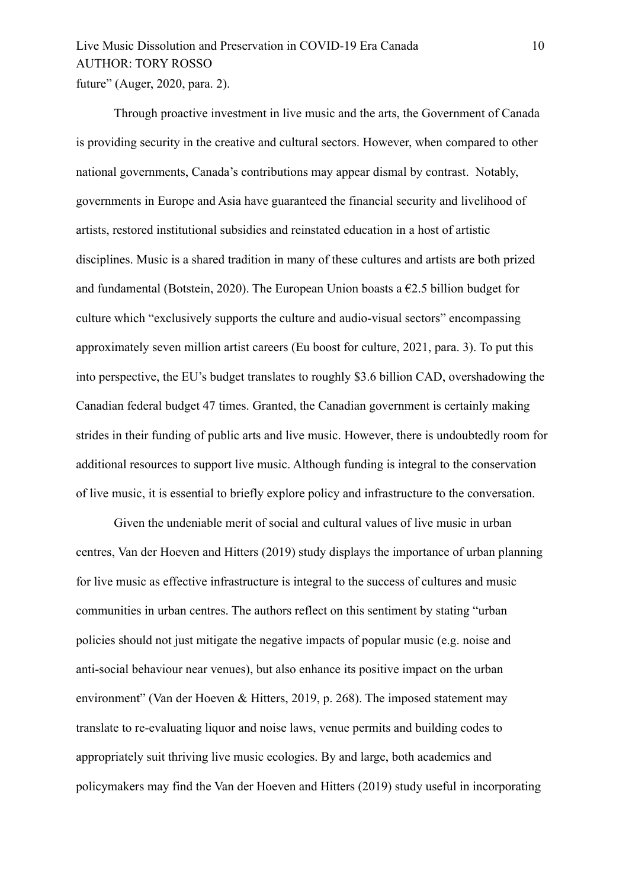# Live Music Dissolution and Preservation in COVID-19 Era Canada 10 AUTHOR: TORY ROSSO future" (Auger, 2020, para. 2).

Through proactive investment in live music and the arts, the Government of Canada is providing security in the creative and cultural sectors. However, when compared to other national governments, Canada's contributions may appear dismal by contrast. Notably, governments in Europe and Asia have guaranteed the financial security and livelihood of artists, restored institutional subsidies and reinstated education in a host of artistic disciplines. Music is a shared tradition in many of these cultures and artists are both prized and fundamental (Botstein, 2020). The European Union boasts a  $\epsilon$ 2.5 billion budget for culture which "exclusively supports the culture and audio-visual sectors" encompassing approximately seven million artist careers (Eu boost for culture, 2021, para. 3). To put this into perspective, the EU's budget translates to roughly \$3.6 billion CAD, overshadowing the Canadian federal budget 47 times. Granted, the Canadian government is certainly making strides in their funding of public arts and live music. However, there is undoubtedly room for additional resources to support live music. Although funding is integral to the conservation of live music, it is essential to briefly explore policy and infrastructure to the conversation.

Given the undeniable merit of social and cultural values of live music in urban centres, Van der Hoeven and Hitters (2019) study displays the importance of urban planning for live music as effective infrastructure is integral to the success of cultures and music communities in urban centres. The authors reflect on this sentiment by stating "urban policies should not just mitigate the negative impacts of popular music (e.g. noise and anti-social behaviour near venues), but also enhance its positive impact on the urban environment" (Van der Hoeven & Hitters, 2019, p. 268). The imposed statement may translate to re-evaluating liquor and noise laws, venue permits and building codes to appropriately suit thriving live music ecologies. By and large, both academics and policymakers may find the Van der Hoeven and Hitters (2019) study useful in incorporating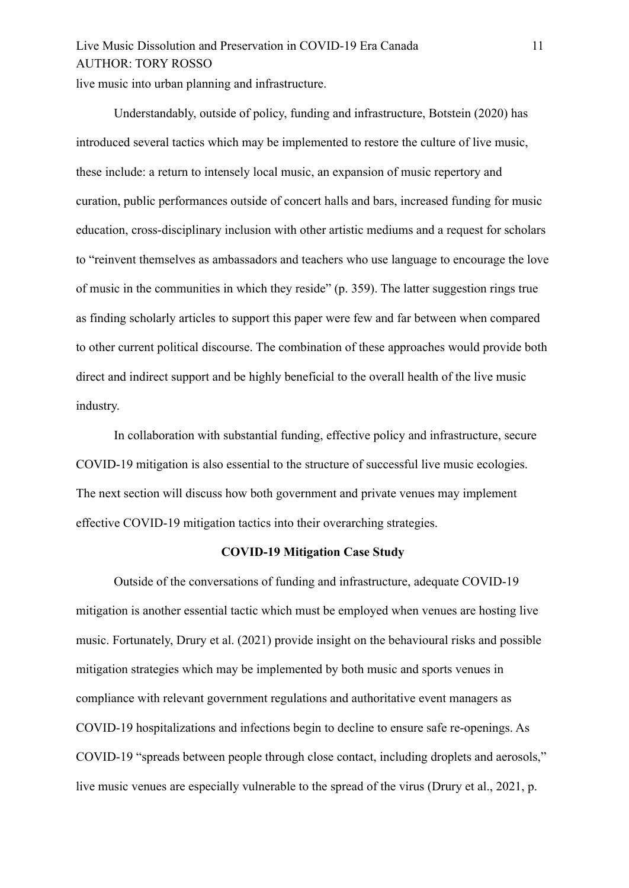# Live Music Dissolution and Preservation in COVID-19 Era Canada 11 AUTHOR: TORY ROSSO

live music into urban planning and infrastructure.

Understandably, outside of policy, funding and infrastructure, Botstein (2020) has introduced several tactics which may be implemented to restore the culture of live music, these include: a return to intensely local music, an expansion of music repertory and curation, public performances outside of concert halls and bars, increased funding for music education, cross-disciplinary inclusion with other artistic mediums and a request for scholars to "reinvent themselves as ambassadors and teachers who use language to encourage the love of music in the communities in which they reside" (p. 359). The latter suggestion rings true as finding scholarly articles to support this paper were few and far between when compared to other current political discourse. The combination of these approaches would provide both direct and indirect support and be highly beneficial to the overall health of the live music industry.

In collaboration with substantial funding, effective policy and infrastructure, secure COVID-19 mitigation is also essential to the structure of successful live music ecologies. The next section will discuss how both government and private venues may implement effective COVID-19 mitigation tactics into their overarching strategies.

#### **COVID-19 Mitigation Case Study**

Outside of the conversations of funding and infrastructure, adequate COVID-19 mitigation is another essential tactic which must be employed when venues are hosting live music. Fortunately, Drury et al. (2021) provide insight on the behavioural risks and possible mitigation strategies which may be implemented by both music and sports venues in compliance with relevant government regulations and authoritative event managers as COVID-19 hospitalizations and infections begin to decline to ensure safe re-openings. As COVID-19 "spreads between people through close contact, including droplets and aerosols," live music venues are especially vulnerable to the spread of the virus (Drury et al., 2021, p.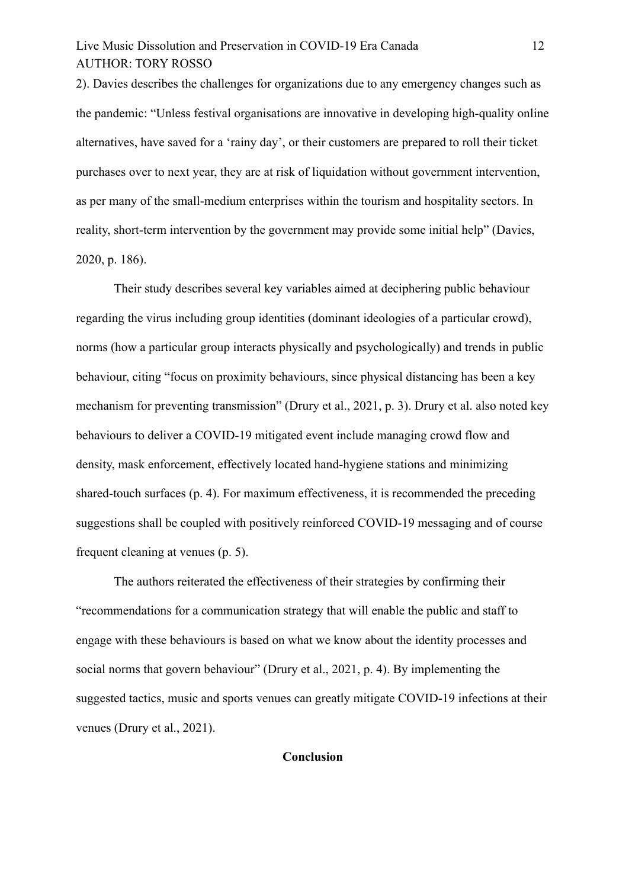# Live Music Dissolution and Preservation in COVID-19 Era Canada 12 AUTHOR: TORY ROSSO

2). Davies describes the challenges for organizations due to any emergency changes such as the pandemic: "Unless festival organisations are innovative in developing high-quality online alternatives, have saved for a 'rainy day', or their customers are prepared to roll their ticket purchases over to next year, they are at risk of liquidation without government intervention, as per many of the small-medium enterprises within the tourism and hospitality sectors. In reality, short-term intervention by the government may provide some initial help" (Davies, 2020, p. 186).

Their study describes several key variables aimed at deciphering public behaviour regarding the virus including group identities (dominant ideologies of a particular crowd), norms (how a particular group interacts physically and psychologically) and trends in public behaviour, citing "focus on proximity behaviours, since physical distancing has been a key mechanism for preventing transmission" (Drury et al., 2021, p. 3). Drury et al. also noted key behaviours to deliver a COVID-19 mitigated event include managing crowd flow and density, mask enforcement, effectively located hand-hygiene stations and minimizing shared-touch surfaces (p. 4). For maximum effectiveness, it is recommended the preceding suggestions shall be coupled with positively reinforced COVID-19 messaging and of course frequent cleaning at venues (p. 5).

The authors reiterated the effectiveness of their strategies by confirming their "recommendations for a communication strategy that will enable the public and staff to engage with these behaviours is based on what we know about the identity processes and social norms that govern behaviour" (Drury et al., 2021, p. 4). By implementing the suggested tactics, music and sports venues can greatly mitigate COVID-19 infections at their venues (Drury et al., 2021).

### **Conclusion**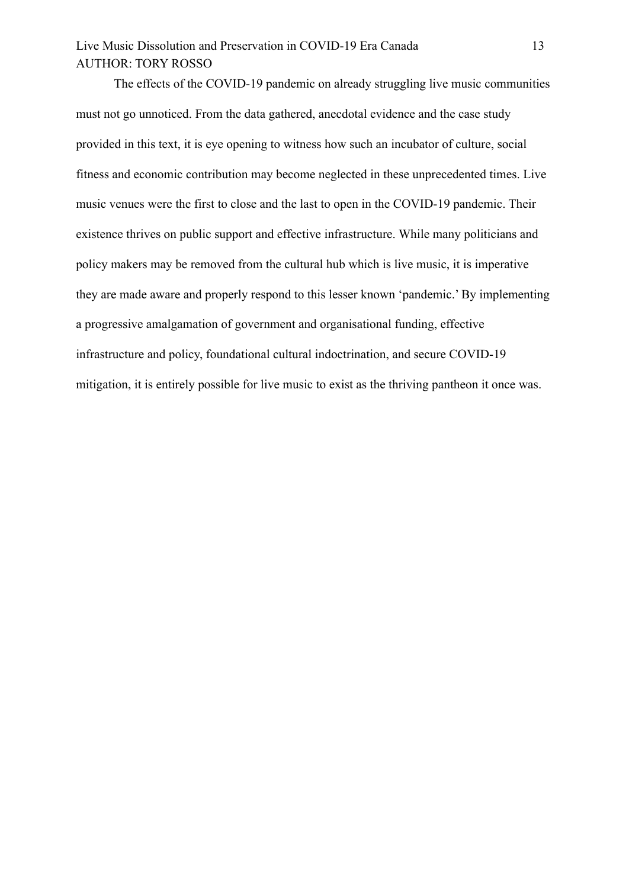# Live Music Dissolution and Preservation in COVID-19 Era Canada 13 AUTHOR: TORY ROSSO

The effects of the COVID-19 pandemic on already struggling live music communities must not go unnoticed. From the data gathered, anecdotal evidence and the case study provided in this text, it is eye opening to witness how such an incubator of culture, social fitness and economic contribution may become neglected in these unprecedented times. Live music venues were the first to close and the last to open in the COVID-19 pandemic. Their existence thrives on public support and effective infrastructure. While many politicians and policy makers may be removed from the cultural hub which is live music, it is imperative they are made aware and properly respond to this lesser known 'pandemic.' By implementing a progressive amalgamation of government and organisational funding, effective infrastructure and policy, foundational cultural indoctrination, and secure COVID-19 mitigation, it is entirely possible for live music to exist as the thriving pantheon it once was.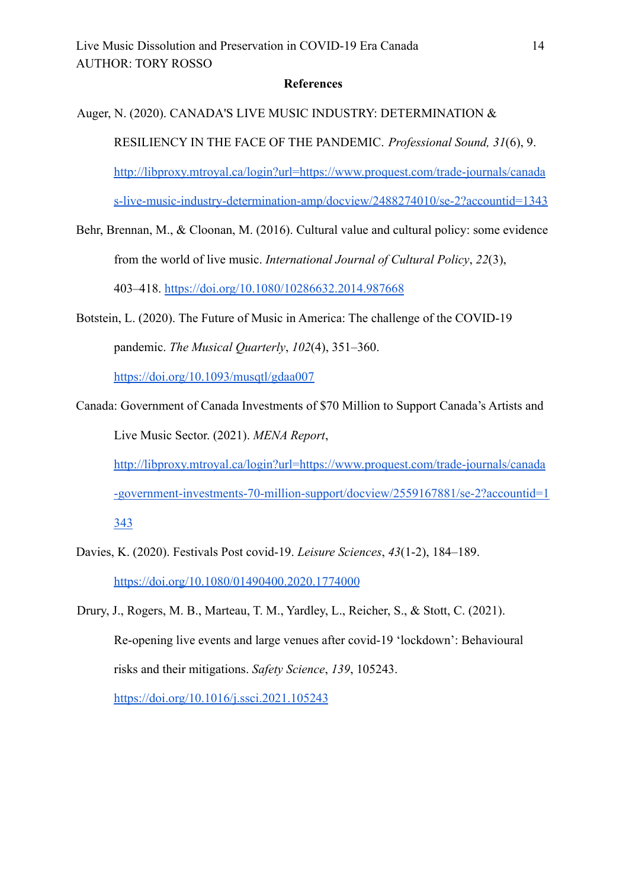#### **References**

Auger, N. (2020). CANADA'S LIVE MUSIC INDUSTRY: DETERMINATION &

RESILIENCY IN THE FACE OF THE PANDEMIC. *Professional Sound, 31*(6), 9.

[http://libproxy.mtroyal.ca/login?url=https://www.proquest.com/trade-journals/canada](http://libproxy.mtroyal.ca/login?url=https://www.proquest.com/trade-journals/canadas-live-music-industry-determination-amp/docview/2488274010/se-2?accountid=1343)

[s-live-music-industry-determination-amp/docview/2488274010/se-2?accountid=1343](http://libproxy.mtroyal.ca/login?url=https://www.proquest.com/trade-journals/canadas-live-music-industry-determination-amp/docview/2488274010/se-2?accountid=1343)

- Behr, Brennan, M., & Cloonan, M. (2016). Cultural value and cultural policy: some evidence from the world of live music. *International Journal of Cultural Policy*, *22*(3), 403–418. <https://doi.org/10.1080/10286632.2014.987668>
- Botstein, L. (2020). The Future of Music in America: The challenge of the COVID-19 pandemic. *The Musical Quarterly*, *102*(4), 351–360.

<https://doi.org/10.1093/musqtl/gdaa007>

Canada: Government of Canada Investments of \$70 Million to Support Canada's Artists and Live Music Sector. (2021). *MENA Report*,

[http://libproxy.mtroyal.ca/login?url=https://www.proquest.com/trade-journals/canada](http://libproxy.mtroyal.ca/login?url=https://www.proquest.com/trade-journals/canada-government-investments-70-million-support/docview/2559167881/se-2?accountid=1343) [-government-investments-70-million-support/docview/2559167881/se-2?accountid=1](http://libproxy.mtroyal.ca/login?url=https://www.proquest.com/trade-journals/canada-government-investments-70-million-support/docview/2559167881/se-2?accountid=1343) [343](http://libproxy.mtroyal.ca/login?url=https://www.proquest.com/trade-journals/canada-government-investments-70-million-support/docview/2559167881/se-2?accountid=1343)

- Davies, K. (2020). Festivals Post covid-19. *Leisure Sciences*, *43*(1-2), 184–189. <https://doi.org/10.1080/01490400.2020.1774000>
- Drury, J., Rogers, M. B., Marteau, T. M., Yardley, L., Reicher, S., & Stott, C. (2021). Re-opening live events and large venues after covid-19 'lockdown': Behavioural risks and their mitigations. *Safety Science*, *139*, 105243. <https://doi.org/10.1016/j.ssci.2021.105243>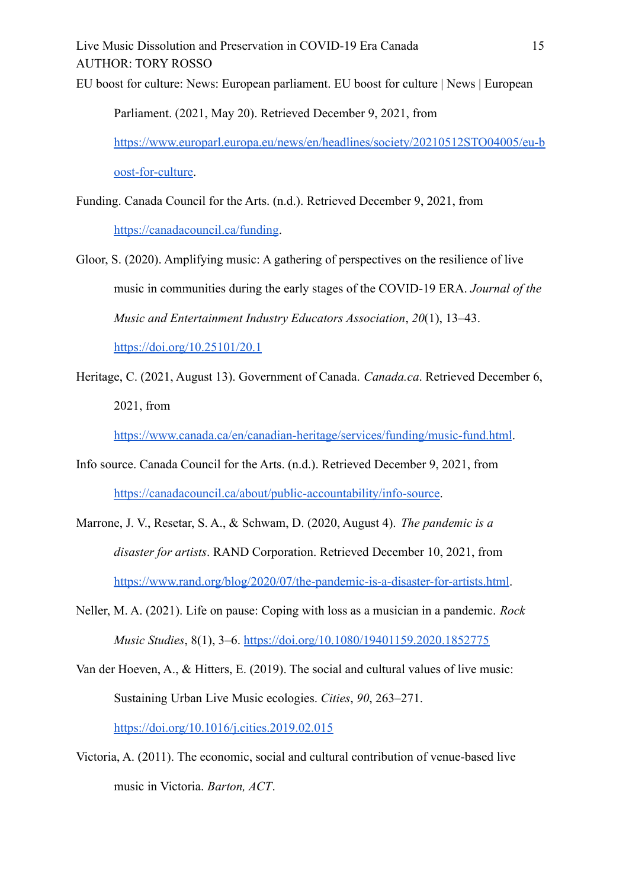Live Music Dissolution and Preservation in COVID-19 Era Canada 15 AUTHOR: TORY ROSSO EU boost for culture: News: European parliament. EU boost for culture | News | European Parliament. (2021, May 20). Retrieved December 9, 2021, from [https://www.europarl.europa.eu/news/en/headlines/society/20210512STO04005/eu-b](https://www.europarl.europa.eu/news/en/headlines/society/20210512STO04005/eu-boost-for-culture)

[oost-for-culture](https://www.europarl.europa.eu/news/en/headlines/society/20210512STO04005/eu-boost-for-culture).

Funding. Canada Council for the Arts. (n.d.). Retrieved December 9, 2021, from <https://canadacouncil.ca/funding>.

- Gloor, S. (2020). Amplifying music: A gathering of perspectives on the resilience of live music in communities during the early stages of the COVID-19 ERA. *Journal of the Music and Entertainment Industry Educators Association*, *20*(1), 13–43. <https://doi.org/10.25101/20.1>
- Heritage, C. (2021, August 13). Government of Canada. *Canada.ca*. Retrieved December 6, 2021, from

<https://www.canada.ca/en/canadian-heritage/services/funding/music-fund.html>.

- Info source. Canada Council for the Arts. (n.d.). Retrieved December 9, 2021, from [https://canadacouncil.ca/about/public-accountability/info-source.](https://canadacouncil.ca/about/public-accountability/info-source)
- Marrone, J. V., Resetar, S. A., & Schwam, D. (2020, August 4). *The pandemic is a disaster for artists*. RAND Corporation. Retrieved December 10, 2021, from [https://www.rand.org/blog/2020/07/the-pandemic-is-a-disaster-for-artists.html.](https://www.rand.org/blog/2020/07/the-pandemic-is-a-disaster-for-artists.html)
- Neller, M. A. (2021). Life on pause: Coping with loss as a musician in a pandemic. *Rock Music Studies*, 8(1), 3–6. <https://doi.org/10.1080/19401159.2020.1852775>
- Van der Hoeven, A., & Hitters, E. (2019). The social and cultural values of live music: Sustaining Urban Live Music ecologies. *Cities*, *90*, 263–271. <https://doi.org/10.1016/j.cities.2019.02.015>
- Victoria, A. (2011). The economic, social and cultural contribution of venue-based live music in Victoria. *Barton, ACT*.